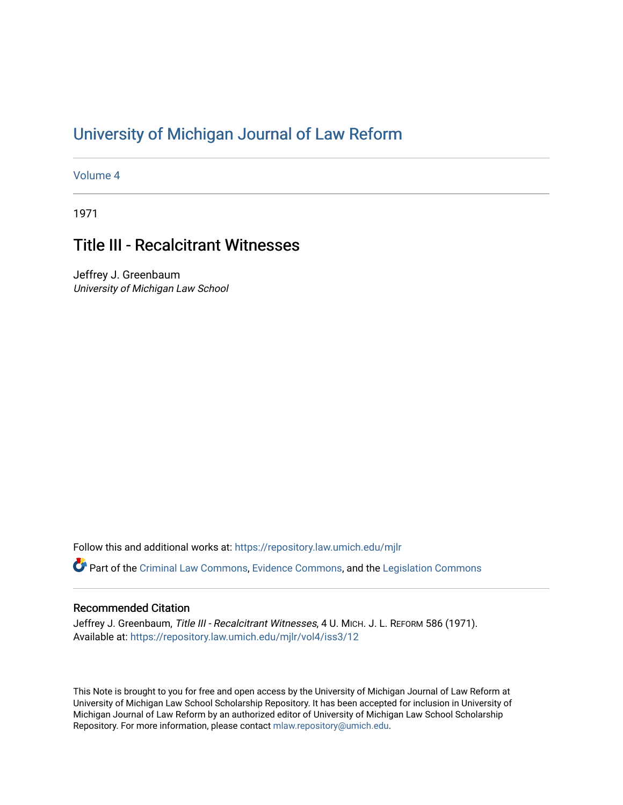# [University of Michigan Journal of Law Reform](https://repository.law.umich.edu/mjlr)

[Volume 4](https://repository.law.umich.edu/mjlr/vol4)

1971

# Title III - Recalcitrant Witnesses

Jeffrey J. Greenbaum University of Michigan Law School

Follow this and additional works at: [https://repository.law.umich.edu/mjlr](https://repository.law.umich.edu/mjlr?utm_source=repository.law.umich.edu%2Fmjlr%2Fvol4%2Fiss3%2F12&utm_medium=PDF&utm_campaign=PDFCoverPages) 

Part of the [Criminal Law Commons,](http://network.bepress.com/hgg/discipline/912?utm_source=repository.law.umich.edu%2Fmjlr%2Fvol4%2Fiss3%2F12&utm_medium=PDF&utm_campaign=PDFCoverPages) [Evidence Commons](http://network.bepress.com/hgg/discipline/601?utm_source=repository.law.umich.edu%2Fmjlr%2Fvol4%2Fiss3%2F12&utm_medium=PDF&utm_campaign=PDFCoverPages), and the [Legislation Commons](http://network.bepress.com/hgg/discipline/859?utm_source=repository.law.umich.edu%2Fmjlr%2Fvol4%2Fiss3%2F12&utm_medium=PDF&utm_campaign=PDFCoverPages) 

## Recommended Citation

Jeffrey J. Greenbaum, Title III - Recalcitrant Witnesses, 4 U. MICH. J. L. REFORM 586 (1971). Available at: [https://repository.law.umich.edu/mjlr/vol4/iss3/12](https://repository.law.umich.edu/mjlr/vol4/iss3/12?utm_source=repository.law.umich.edu%2Fmjlr%2Fvol4%2Fiss3%2F12&utm_medium=PDF&utm_campaign=PDFCoverPages) 

This Note is brought to you for free and open access by the University of Michigan Journal of Law Reform at University of Michigan Law School Scholarship Repository. It has been accepted for inclusion in University of Michigan Journal of Law Reform by an authorized editor of University of Michigan Law School Scholarship Repository. For more information, please contact [mlaw.repository@umich.edu](mailto:mlaw.repository@umich.edu).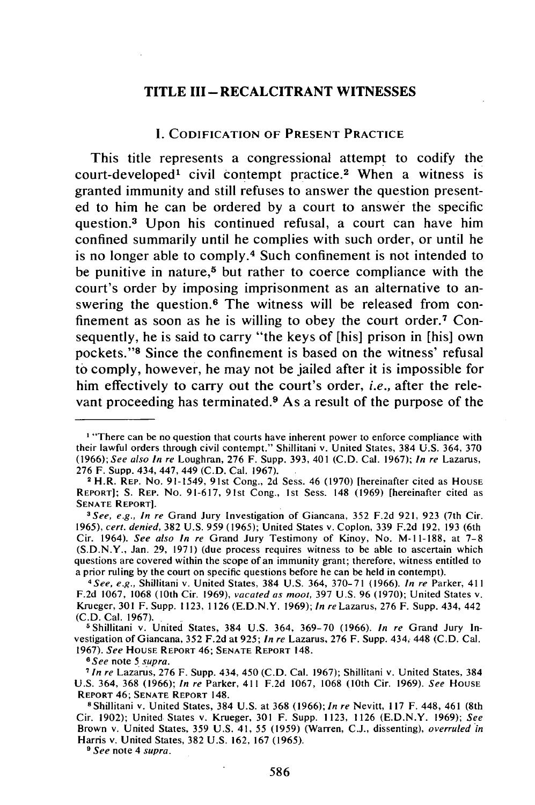### **TITLE III-RECALCITRANT WITNESSES**

#### **I.** CODIFICATION OF **PRESENT PRACTICE**

This title represents a congressional attempt to codify the court-developed<sup>1</sup> civil contempt practice.<sup>2</sup> When a witness is granted immunity and still refuses to answer the question presented to him he can be ordered **by** a court to answer the specific question.3 Upon his continued refusal, a court can have him confined summarily until he complies with such order, or until he is no longer able to **comply. <sup>4</sup>**Such confinement is not intended to be punitive in nature,<sup>5</sup> but rather to coerce compliance with the court's order **by** imposing imprisonment as an alternative to answering the question.<sup>6</sup> The witness will be released from confinement as soon as he is willing to obey the court order.<sup>7</sup> Consequently, he is said to carry "the keys of [his] prison in [his] own pockets."<sup>8</sup> Since the confinement is based on the witness' refusal to comply, however, he may not be jailed after it is impossible for him effectively to carry out the court's order, *i.e.,* after the relevant proceeding has terminated.9 As a result of the purpose of the

*9 See* note 4 *supra.*

<sup>&</sup>lt;sup>1</sup> "There can be no question that courts have inherent power to enforce compliance with their lawful orders through civil contempt." Shillitani v. United States, 384 U.S. 364, 370 *(1966);See also In re* Loughran, 276 F. Supp. 393, 401 (C.D. Cal. 1967); *In re* Lazarus, 276 F. Supp. 434, 447, 449 (C.D. Cal. 1967).

<sup>2</sup>H.R. REP. No. 91-1549, 91st Cong., 2d Sess. 46 (1970) [hereinafter cited as **HOUSE** REPORT]; **S.** REP. No. 91-617, 91st Cong., 1st Sess. 148 (1969) [hereinafter cited as **SENATE** REPORT]. *<sup>3</sup> See, e.g., In re* Grand Jury Investigation of Giancana, 352 F.2d **921,** 923 (7th Cir.

<sup>1965),</sup> *cert. denied,* 382 U.S. 959 (1965); United States v. Coplon, 339 F.2d 192, **193** (6th Cir. 1964). *See also In re* Grand Jury Testimony of Kinoy, No. **M-11-188,** at **7-8** (S.D.N.Y., Jan. 29, **1971)** (due process requires witness to be able to ascertain which questions are covered within the scope of an immunity grant; therefore, witness entitled to a prior ruling **by** the court on specific questions before he can be held in contempt). *<sup>4</sup> See, e.g.,* Shillitani v. United States, 384 U.S. 364, 370-71 (1966). *In re* Parker, 411

F.2d **1067, 1068** (10th Cir. 1969), vacated *as moot,* 397 U.S. 96 (1970); United States v. Krueger, **301** F. Supp. **1123, 1126** (E.D.N.Y. 1969); *In re* Lazarus, 276 F. Supp. 434, 442 **(C.D.** Cal. 1967). <sup>5</sup> Shillitani v. United States, 384 U.S. 364, 369-70 (1966). *In re* Grand Jury In-

vestigation of Giancana, 352 F.2d at 925; *In re* Lazarus, **276** F. Supp. 434, 448 **(C.D.** Cal. 1967). *See* HOUSE **REPORT** 46; **SENATE REPORT** 148. **<sup>6</sup>**See note 5 supra.

*<sup>7</sup>In re* Lazarus, 276 F. Supp. 434, 450 (C.D. Cal. 1967); Shillitani v. United States, 384 U.S. 364, 368 (1966); *In re* Parker, 411 F.2d 1067, 1068 (10th Cir. 1969). *See* HOUSE REPORT 46; **SENATE** REPORT 148. **<sup>8</sup>**Shillitani v. United States, 384 U.S. at 368 (1966); *In re* Nevitt, **l17** F. 448, 461 (8th

Cir. 1902); United States v. Krueger, 301 F. Supp. 1123, 1126 (E.D.N.Y. 1969); *See* Brown v. United States, 359 U.S. 41, 55 (1959) (Warren, C.J., dissenting), *overruled in* Harris v. United States, 382 U.S. 162, 167 (1965).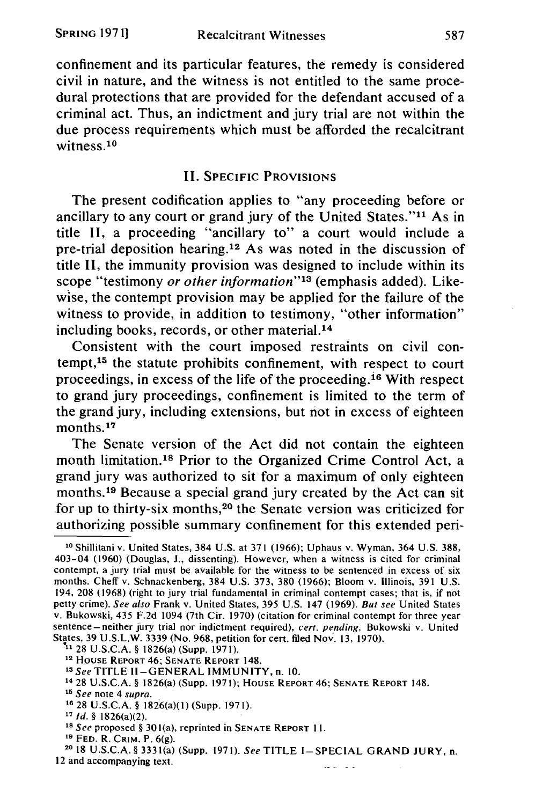confinement and its particular features, the remedy is considered civil in nature, and the witness is not entitled to the same procedural protections that are provided for the defendant accused of a criminal act. Thus, an indictment and jury trial are not within the due process requirements which must be afforded the recalcitrant witness.<sup>10</sup>

# II. **SPECIFIC** PROVISIONS

The present codification applies to "any proceeding before or ancillary to any court or grand jury of the United States."<sup>11</sup> As in title II, a proceeding "ancillary to" a court would include a pre-trial deposition hearing.<sup>12</sup> As was noted in the discussion of title II, the immunity provision was designed to include within its scope "testimony *or other information"'3* (emphasis added). Likewise, the contempt provision may be applied for the failure of the witness to provide, in addition to testimony, "other information" including books, records, or other material.<sup>14</sup>

Consistent with the court imposed restraints on civil contempt, 15 the statute prohibits confinement, with respect to court proceedings, in excess of the life of the proceeding.<sup>16</sup> With respect to grand jury proceedings, confinement is limited to the term of the grand jury, including extensions, but not in excess of eighteen months.<sup>17</sup>

The Senate version of the Act did not contain the eighteen month limitation.<sup>18</sup> Prior to the Organized Crime Control Act, a grand jury was authorized to sit for a maximum of only eighteen months.<sup>19</sup> Because a special grand jury created by the Act can sit for up to thirty-six months,<sup>20</sup> the Senate version was criticized for authorizing possible summary confinement for this extended peri-

**<sup>10</sup>**Shillitani v. United States, 384 **U.S.** at 371 (1966); Uphaus v. Wyman, 364 U.S. 388, 403-04 (1960) (Douglas, **J.,** dissenting). However, when a witness is cited for criminal contempt, a jury trial must be available for the witness to be sentenced in excess of six months. Cheff v. Schnackenberg, 384 U.S. 373, 380 (1966); Bloom v. Illinois, 391 U.S. 194, 208 (1968) (right to jury trial fundamental in criminal contempt cases; that is, if not petty crime). See also Frank v. United States, 395 U.S. 147 (1969). But *see* United States v. Bukowski, 435 F.2d 1094 (7th Cir. 1970) (citation for criminal contempt for three year sentence-neither jury trial nor indictment required), *cert. pending,* Bukowski v. United States, 39 U.S.L.W. 3339 (No. 968, petition for cert. filed Nov. 13, 1970).

**<sup>&</sup>quot;** 28 U.S.C.A. **§** 1826(a) (Supp. 1971).

**<sup>12</sup>HOUSE** REPORT 46; **SENATE** REPORT 148.

*<sup>13</sup>See* TITLE **Il-GENERAL IMMUNITY,** n. 10.

**<sup>14</sup>** 28 U.S.C.A. **§** 1826(a) (Supp. 1971); HOUSE REPORT 46; **SENATE** REPORT 148.

*<sup>15</sup>See* note 4 *supra.*

**<sup>16 28</sup>** U.S.C.A. **§** 1826(a)(1) (Supp. 1971).

*<sup>17</sup> Id. §* 1826(a)(2).

*<sup>1</sup>s See* proposed **§** 301(a), reprinted in **SENATE** REPORT II.

**<sup>19</sup> FED.** R. **CRIM.** P. 6(g).

**<sup>2018</sup>** U.S.C.A. § 3331(a) (Supp. 1971). SeeTITLE I-SPECIAL GRAND JURY, n. 12 and accompanying text. فالفار المرافط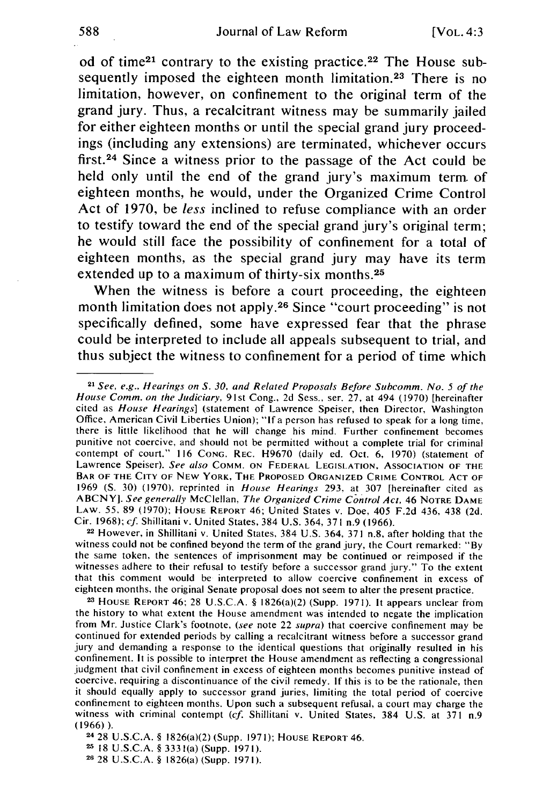od of time<sup>21</sup> contrary to the existing practice.<sup>22</sup> The House subsequently imposed the eighteen month limitation.<sup>23</sup> There is no limitation, however, on confinement to the original term of the grand jury. Thus, a recalcitrant witness may be summarily jailed for either eighteen months or until the special grand jury proceedings (including any extensions) are terminated, whichever occurs first.<sup>24</sup> Since a witness prior to the passage of the Act could be held only until the end of the grand jury's maximum term. of eighteen months, he would, under the Organized Crime Control Act of **1970,** be *less* inclined to refuse compliance with an order to testify toward the end of the special grand jury's original term; he would still face the possibility of confinement for a total of eighteen months, as the special grand jury may have its term extended up to a maximum of thirty-six months. $25$ 

When the witness is before a court proceeding, the eighteen month limitation does not apply.<sup>26</sup> Since "court proceeding" is not specifically defined, some have expressed fear that the phrase could be interpreted to include all appeals subsequent to trial, and thus subject the witness to confinement for a period of time which

**<sup>22</sup>**However, in Shillitani v. United States, 384 U.S. 364, 371 n.8, after holding that the witness could not be confined beyond the term of the grand jury, the Court remarked: "By the same token, the sentences of imprisonment may be continued or reimposed if the witnesses adhere to their refusal to testify before a successor grand jury." To the extent that this comment would be interpreted to allow coercive confinement in excess of eighteen months, the original Senate proposal does not seem to alter the present practice.

**2 HOUSE** REPORT 46; 28 U.S.C.A. § 1826(a)(2) (Supp. 1971). It appears unclear from the history to what extent the House amendment was intended to negate the implication from Mr. Justice Clark's footnote, *(see* note 22 *supra)* that coercive confinement may be continued for extended periods by calling a recalcitrant witness before a successor grand jury and demanding a response to the identical questions that originally resulted in his confinement. It is possible to interpret the House amendment as reflecting a congressional judgment that civil confinement in excess of eighteen months becomes punitive instead of coercive, requiring a discontinuance of the civil remedy. If this is to be the rationale, then it should equally apply to successor grand juries, limiting the total period of coercive confinement to eighteen months. Upon such a subsequent refusal, a court may charge the witness with criminal contempt *(cf.* Shillitani v. United States, 384 U.S. at 371 n.9 (1966)).

<sup>24</sup>28 U.S.C.A. § 1826(a)(2) (Supp. 1971); HOUSE REPORT 46.

**<sup>25</sup>**18 U.S.C.A. § 333 1(a) (Supp. 1971). **<sup>26</sup>**28 **U.S.C.A.** § 1 <sup>8</sup> 26(a) (Supp. 1971).

**<sup>21</sup>***See, e.g., Hearings on S. 30, and Related Proposals Before Subcomm. No. 5 of the House Comm. on the Judiciary,* 91st Cong., 2d Sess., ser. 27, at 494 (1970) [hereinafter cited as *House Hearings]* (statement of Lawrence Speiser, then Director, Washington Office, American Civil Liberties Union); *"Ifa* person has refused to speak for a long time, there is little likelihood that he will change his mind. Further confinement becomes punitive not coercive, and should not be permitted without a complete trial for criminal contempt of court." 116 **CONG.** REC. H9670 (daily ed. Oct. **6,** 1970) (statement of Lawrence Speiser). *See also* COMM. **ON** FEDERAL **LEGISLATION,** ASSOCIATION OF THE BAR OF THE CITY OF **NEW** YORK, THE PROPOSED ORGANIZED CRIME CONTROL **ACT** OF <sup>1969</sup>**(S.** 30) (1970), reprinted in *House Hearings* 293, at 307 [hereinafter cited as ABCNY]. *See generally* McClellan, *The Organized Crime Control Act,* 46 NOTRE **DAME** LAW. **55,** 89 (1970); HOUSE REPORT 46; United States v. Doe, 405 F.2d 436, 438 (2d. Cir. 1968); *cf.* Shillitani v. United States, 384 U.S. 364, 371 n.9 (1966).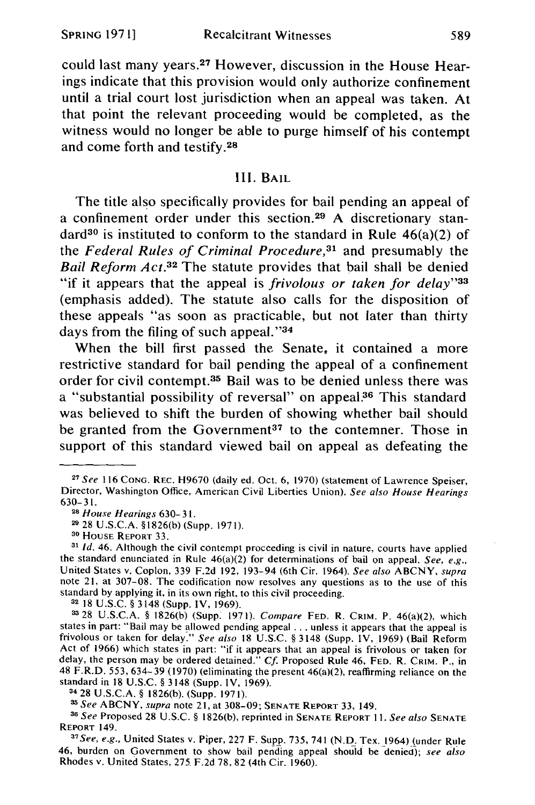could last many years.<sup>27</sup> However, discussion in the House Hearings indicate that this provision would only authorize confinement until a trial court lost jurisdiction when an appeal was taken. At that point the relevant proceeding would be completed, as the witness would no longer be able to purge himself of his contempt and come forth and testify.<sup>28</sup>

## III. BAIL

The title also specifically provides for bail pending an appeal of a confinement order under this section.<sup>29</sup> A discretionary standard<sup>30</sup> is instituted to conform to the standard in Rule  $46(a)(2)$  of the *Federal Rules of Criminal Procedure*,<sup>31</sup> and presumably the *Bail Reform Act.*<sup>32</sup> The statute provides that bail shall be denied "if it appears that the appeal is *frivolous or taken for delay"33* (emphasis added). The statute also calls for the disposition of these appeals "as soon as practicable, but not later than thirty days from the filing of such appeal."<sup>34</sup>

When the bill first passed the Senate, it contained a more restrictive standard for bail pending the appeal of a confinement order for civil contempt.<sup>35</sup> Bail was to be denied unless there was a "substantial possibility of reversal" on appeal.<sup>36</sup> This standard was believed to shift the burden of showing whether bail should be granted from the Government<sup>37</sup> to the contemner. Those in support of this standard viewed bail on appeal as defeating the

**<sup>32</sup>**18 U.S.C. § 3148 (Supp. IV, 1969).

**3328** U.S.C.A. § 1826(b) (Supp. 1971). *Compare* **FED.** R. CRIM. P. 46(a)(2), which states in part: "Bail may be allowed pending appeal **...** unless it appears that the appeal is frivolous or taken for delay." *See also* 18 U.S.C. § 3148 (Supp. IV, 1969) (Bail Reform Act of 1966) which states in part: "if it appears that an appeal is frivolous or taken for delay, the person may be ordered detained." *Cf.* Proposed Rule 46, **FED.** R. CRIM. P., in 48 F.R.D. 553, 634-39 (1970) (eliminating the present 46(a)(2), reaffirming reliance on the standard in 18 U.S.C. § 3148 (Supp. IV, 1969). 34 28 U.S.C.A. § 1826(b). (Supp. 1971).

*' See* ABCNY, *supra* note 21, at 308-09; **SENATE REPORT** 33, 149.

**<sup>38</sup>***See* Proposed 28 U.S.C. § 1826(b), reprinted in **SENATE REPORT 11.** *See also* **SENATE REPORT 149.** 

*See, e.g.,* United States v. Piper, 227 F. Supp. 735, 741 (N.D. Tex. 1964) (under Rule 46, burden on Government to show bail pending appeal should be denied); *see also* Rhodes v. United States, **275** F.2d **78,** 82 (4th Cir. 1960).

**<sup>27</sup>***See* 116 **CONG.** REC. H9670 (daily ed. Oct. 6, 1970) (statement of Lawrence Speiser, Director, Washington Office, American Civil Liberties Union). *See also House Hearings* 630-31.

**<sup>28</sup>***House Hearings* 630- **3 1.**

**<sup>29</sup>** 28 U.S.C.A. §1826(b) (Supp. 1971).

**<sup>30</sup>** HOUSE REPORT 33.

**<sup>31</sup>***Id.* 46. Although the civil contempt proceeding is civil in nature, courts have applied the standard enunciated in Rule 46(a)(2) for determinations of bail on appeal. *See, e.g.,* United States v. Coplon, 339 F.2d 192, 193-94 (6th Cir. 1964). *See also* ABCNY, *supra* note 21, at 307-08. The codification now resolves any questions as to the use of this standard by applying it, in its own right, to this civil proceeding.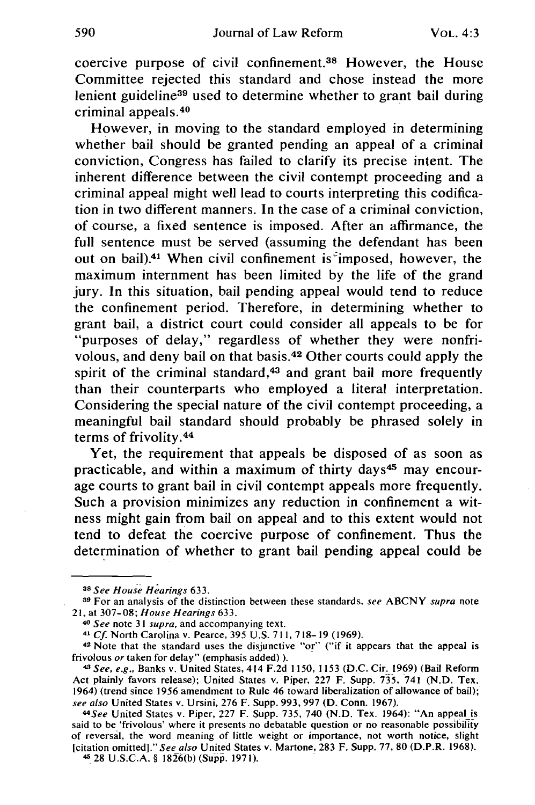coercive purpose of civil confinement. 38 However, the House Committee rejected this standard and chose instead the more lenient guideline<sup>39</sup> used to determine whether to grant bail during criminal appeals. <sup>40</sup>

However, in moving to the standard employed in determining whether bail should be granted pending an appeal of a criminal conviction, Congress has failed to clarify its precise intent. The inherent difference between the civil contempt proceeding and a criminal appeal might well lead to courts interpreting this codification in two different manners. In the case of a criminal conviction, of course, a fixed sentence is imposed. After an affirmance, the full sentence must be served (assuming the defendant has been out on bail).41 When civil confinement is-imposed, however, the maximum internment has been limited by the life of the grand jury. In this situation, bail pending appeal would tend to reduce the confinement period. Therefore, in determining whether to grant bail, a district court could consider all appeals to be for "purposes of delay," regardless of whether they were nonfrivolous, and deny bail on that basis.42 Other courts could apply the spirit of the criminal standard,<sup>43</sup> and grant bail more frequently than their counterparts who employed a literal interpretation. Considering the special nature of the civil contempt proceeding, a meaningful bail standard should probably be phrased solely in terms of frivolity. <sup>44</sup>

Yet, the requirement that appeals be disposed of as soon as practicable, and within a maximum of thirty days<sup>45</sup> may encourage courts to grant bail in civil contempt appeals more frequently. Such a provision minimizes any reduction in confinement a witness might gain from bail on appeal and to this extent would not tend to defeat the coercive purpose of confinement. Thus the determination of whether to grant bail pending appeal could be

**<sup>41</sup>***Cf.* North Carolina v. Pearce, 395 U.S. 711,718- 19 (1969).

<sup>42</sup>Note that the standard uses the disjunctive "or" ("if it appears that the appeal is frivolous *or* taken for delay" (emphasis added) ).

**<sup>3</sup>a** *See House Hearings* **633.**

**<sup>39</sup>**For an analysis of the distinction between these standards, *see* **ABCNY** *supra* note 21, at 307-08; *House Hearings* 633.

**<sup>40</sup>***See* note 31 *supra,* and accompanying text.

<sup>43</sup> *See, e.g.,* Banks v. United States, 414 F.2d 1150, 1153 (D.C. Cir. 1969) (Bail Reform Act plainly favors release); United States v. Piper, 227 F. Supp. 735, 741 (N.D. Tex. 1964) (trend since 1956 amendment to Rule 46 toward liberalization of allowance of bail); *see also* United States v. Ursini, 276 F. Supp. 993, 997 (D. Conn. 1967).

<sup>44</sup>See United States v. Piper, 227 F. Supp. 735, 740 (N.D. Tex. 1964): "An appeal is said to be 'frivolous' where it presents no debatable question or no reasonable possibility of reversal, the word meaning of little weight or importance, not worth notice, slight [citation omitted]." *See also* United States v. Martone, 283 F. Supp. 77, 80 (D.P.R. 1968).

<sup>428</sup> U.S.C.A. § 1826(b) (Supp. **1971).**